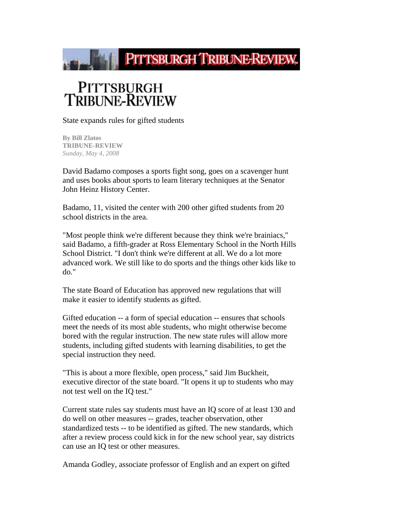

## PITTSBURGH<br>TRIBUNE-REVIEW

State expands rules for gifted students

**By Bill Zlatos TRIBUNE-REVIEW** *Sunday, May 4, 2008*

David Badamo composes a sports fight song, goes on a scavenger hunt and uses books about sports to learn literary techniques at the Senator John Heinz History Center.

Badamo, 11, visited the center with 200 other gifted students from 20 school districts in the area.

"Most people think we're different because they think we're brainiacs," said Badamo, a fifth-grader at Ross Elementary School in the North Hills School District. "I don't think we're different at all. We do a lot more advanced work. We still like to do sports and the things other kids like to do."

The state Board of Education has approved new regulations that will make it easier to identify students as gifted.

Gifted education -- a form of special education -- ensures that schools meet the needs of its most able students, who might otherwise become bored with the regular instruction. The new state rules will allow more students, including gifted students with learning disabilities, to get the special instruction they need.

"This is about a more flexible, open process," said Jim Buckheit, executive director of the state board. "It opens it up to students who may not test well on the IQ test."

Current state rules say students must have an IQ score of at least 130 and do well on other measures -- grades, teacher observation, other standardized tests -- to be identified as gifted. The new standards, which after a review process could kick in for the new school year, say districts can use an IQ test or other measures.

Amanda Godley, associate professor of English and an expert on gifted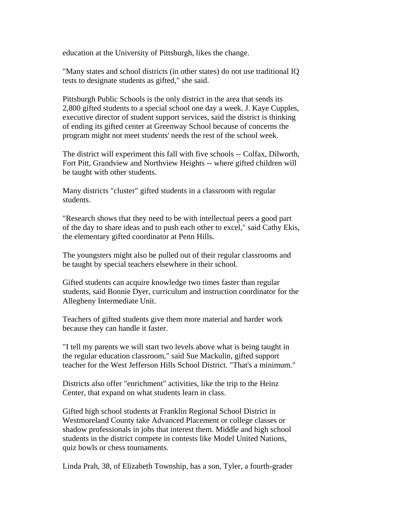education at the University of Pittsburgh, likes the change.

"Many states and school districts (in other states) do not use traditional IQ tests to designate students as gifted," she said.

Pittsburgh Public Schools is the only district in the area that sends its 2,800 gifted students to a special school one day a week. J. Kaye Cupples, executive director of student support services, said the district is thinking of ending its gifted center at Greenway School because of concerns the program might not meet students' needs the rest of the school week.

The district will experiment this fall with five schools -- Colfax, Dilworth, Fort Pitt, Grandview and Northview Heights -- where gifted children will be taught with other students.

Many districts "cluster" gifted students in a classroom with regular students.

"Research shows that they need to be with intellectual peers a good part of the day to share ideas and to push each other to excel," said Cathy Ekis, the elementary gifted coordinator at Penn Hills.

The youngsters might also be pulled out of their regular classrooms and be taught by special teachers elsewhere in their school.

Gifted students can acquire knowledge two times faster than regular students, said Bonnie Dyer, curriculum and instruction coordinator for the Allegheny Intermediate Unit.

Teachers of gifted students give them more material and harder work because they can handle it faster.

"I tell my parents we will start two levels above what is being taught in the regular education classroom," said Sue Mackulin, gifted support teacher for the West Jefferson Hills School District. "That's a minimum."

Districts also offer "enrichment" activities, like the trip to the Heinz Center, that expand on what students learn in class.

Gifted high school students at Franklin Regional School District in Westmoreland County take Advanced Placement or college classes or shadow professionals in jobs that interest them. Middle and high school students in the district compete in contests like Model United Nations, quiz bowls or chess tournaments.

Linda Prah, 38, of Elizabeth Township, has a son, Tyler, a fourth-grader